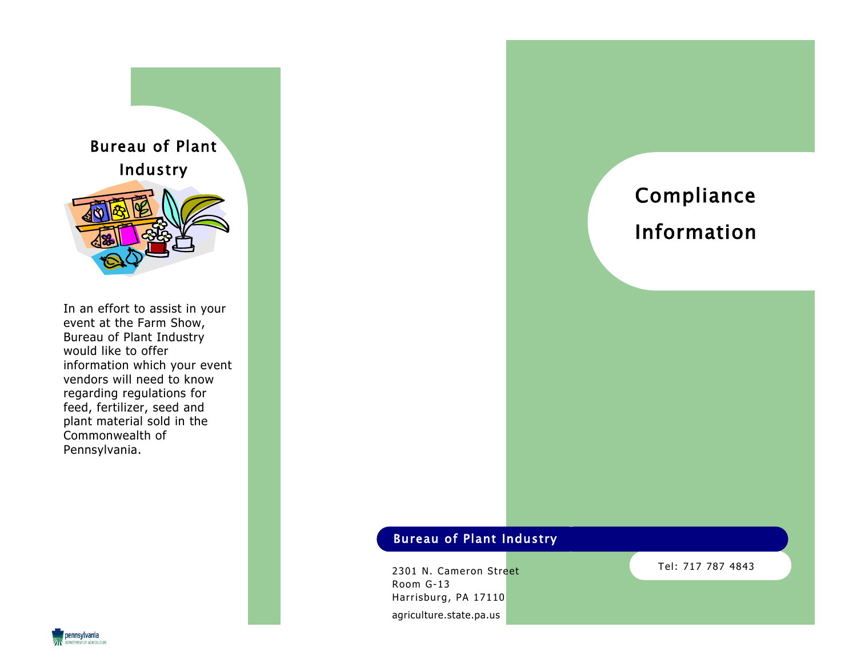

In an effort to assist in your event at the Farm Show, Bureau of Plant Industry would like to offer information which your event vendors will need to know regarding regulations for feed, fertilizer, seed and plant material sold in the Commonwealth of Pennsylvania.

Compliance Information

# Bureau of Plant Industry

2301 N. Cameron Street Room G-13 Harrisburg, PA 17110 agriculture.state.pa.us

Tel: 717 787 4843